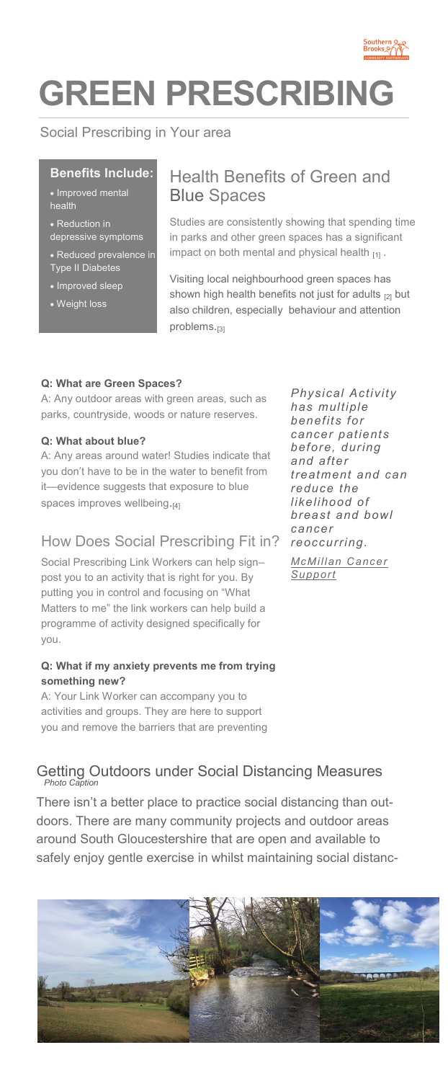

# **GREEN PRESCRIBING**

## Social Prescribing in Your area

### **Benefits Include:**

- Improved mental health
- Reduction in lepressive symptoms
- Reduced prevalence in Type II Diabetes
- Improved sleep
- Weight loss

## Health Benefits of Green and Blue Spaces

Studies are consistently showing that spending time in parks and other green spaces has a significant impact on both mental and physical health  $_{[1]}$ .

Visiting local neighbourhood green spaces has shown high health benefits not just for adults  $_{[2]}$  but also children, especially behaviour and attention problems.<sub>[3]</sub>

### **Q: What are Green Spaces?**

A: Any outdoor areas with green areas, such as parks, countryside, woods or nature reserves.

#### **Q: What about blue?**

A: Any areas around water! Studies indicate that you don't have to be in the water to benefit from it—evidence suggests that exposure to blue spaces improves wellbeing.[4]

## How Does Social Prescribing Fit in?

Social Prescribing Link Workers can help sign– post you to an activity that is right for you. By putting you in control and focusing on "What Matters to me" the link workers can help build a programme of activity designed specifically for you.

### **Q: What if my anxiety prevents me from trying something new?**

A: Your Link Worker can accompany you to activities and groups. They are here to support you and remove the barriers that are preventing

## *Photo Caption* Getting Outdoors under Social Distancing Measures

There isn't a better place to practice social distancing than outdoors. There are many community projects and outdoor areas around South Gloucestershire that are open and available to safely enjoy gentle exercise in whilst maintaining social distanc-



*Physical Activity has multiple benefits for cancer patients before, during and after treatment and can reduce the likelihood of breast and bowl cancer reoccurring. [McMillan Cancer](https://www.macmillan.org.uk/_images/the-importance-physical-activity-for-people-living-with-and-beyond-cancer_tcm9-290123.pdf)  [Support](https://www.macmillan.org.uk/_images/the-importance-physical-activity-for-people-living-with-and-beyond-cancer_tcm9-290123.pdf)*